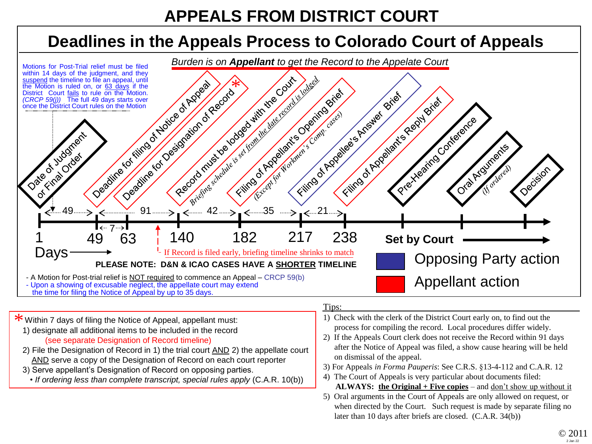## **APPEALS FROM DISTRICT COURT**

## **Deadlines in the Appeals Process to Colorado Court of Appeals**



\* Within 7 days of filing the Notice of Appeal, appellant must:<br>1) decianate all additional items to be included in the record 1) designate all additional items to be included in the record (see separate Designation of Record timeline)

- 2) File the Designation of Record in 1) the trial court AND 2) the appellate court AND serve a copy of the Designation of Record on each court reporter
- 3) Serve appellant's Designation of Record on opposing parties.
	- *If ordering less than complete transcript, special rules apply* (C.A.R. 10(b))

## Tips:

- 1) Check with the clerk of the District Court early on, to find out the process for compiling the record. Local procedures differ widely.
- 2) If the Appeals Court clerk does not receive the Record within 91 days after the Notice of Appeal was filed, a show cause hearing will be held on dismissal of the appeal.
- 3) For Appeals *in Forma Pauperis*: See C.R.S. §13-4-112 and C.A.R. 12
- 4) The Court of Appeals is very particular about documents filed: **ALWAYS: the Original + Five copies** – and don't show up without it
- 5) Oral arguments in the Court of Appeals are only allowed on request, or when directed by the Court. Such request is made by separate filing no later than 10 days after briefs are closed. (C.A.R. 34(b))